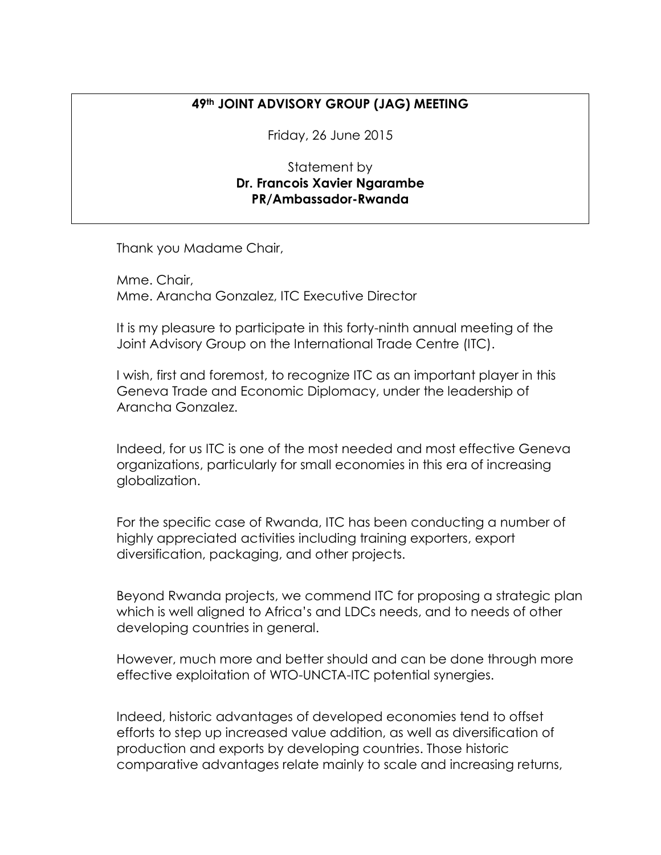## **49th JOINT ADVISORY GROUP (JAG) MEETING**

Friday, 26 June 2015

Statement by **Dr. Francois Xavier Ngarambe PR/Ambassador-Rwanda**

Thank you Madame Chair,

Mme. Chair, Mme. Arancha Gonzalez, ITC Executive Director

It is my pleasure to participate in this forty-ninth annual meeting of the Joint Advisory Group on the International Trade Centre (ITC).

I wish, first and foremost, to recognize ITC as an important player in this Geneva Trade and Economic Diplomacy, under the leadership of Arancha Gonzalez.

Indeed, for us ITC is one of the most needed and most effective Geneva organizations, particularly for small economies in this era of increasing globalization.

For the specific case of Rwanda, ITC has been conducting a number of highly appreciated activities including training exporters, export diversification, packaging, and other projects.

Beyond Rwanda projects, we commend ITC for proposing a strategic plan which is well aligned to Africa's and LDCs needs, and to needs of other developing countries in general.

However, much more and better should and can be done through more effective exploitation of WTO-UNCTA-ITC potential synergies.

Indeed, historic advantages of developed economies tend to offset efforts to step up increased value addition, as well as diversification of production and exports by developing countries. Those historic comparative advantages relate mainly to scale and increasing returns,